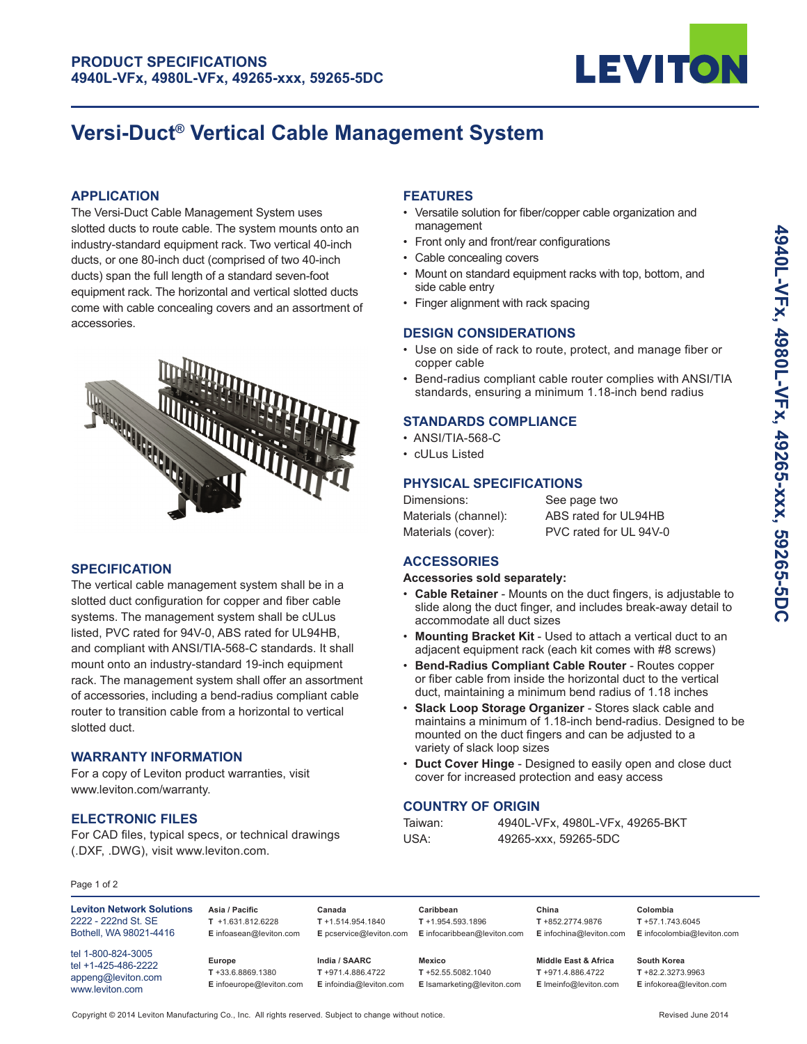

# **Versi-Duct® Vertical Cable Management System**

### **APPLICATION**

The Versi-Duct Cable Management System uses slotted ducts to route cable. The system mounts onto an industry-standard equipment rack. Two vertical 40-inch ducts, or one 80-inch duct (comprised of two 40-inch ducts) span the full length of a standard seven-foot equipment rack. The horizontal and vertical slotted ducts come with cable concealing covers and an assortment of accessories.



# **SPECIFICATION**

The vertical cable management system shall be in a slotted duct configuration for copper and fiber cable systems. The management system shall be cULus listed, PVC rated for 94V-0, ABS rated for UL94HB, and compliant with ANSI/TIA-568-C standards. It shall mount onto an industry-standard 19-inch equipment rack. The management system shall offer an assortment of accessories, including a bend-radius compliant cable router to transition cable from a horizontal to vertical slotted duct.

# **WARRANTY INFORMATION**

For a copy of Leviton product warranties, visit www.leviton.com/warranty.

# **ELECTRONIC FILES**

For CAD files, typical specs, or technical drawings (.DXF, .DWG), visit www.leviton.com.

# **FEATURES**

- Versatile solution for fiber/copper cable organization and management
- Front only and front/rear configurations
- Cable concealing covers
- Mount on standard equipment racks with top, bottom, and side cable entry
- Finger alignment with rack spacing

#### **DESIGN CONSIDERATIONS**

- Use on side of rack to route, protect, and manage fiber or copper cable
- Bend-radius compliant cable router complies with ANSI/TIA standards, ensuring a minimum 1.18-inch bend radius

# **STANDARDS COMPLIANCE**

- ANSI/TIA-568-C
- cULus Listed

#### **PHYSICAL SPECIFICATIONS**

| Dimensions:          | See page two           |
|----------------------|------------------------|
| Materials (channel): | ABS rated for UL94HB   |
| Materials (cover):   | PVC rated for UL 94V-0 |

# **ACCESSORIES**

#### **Accessories sold separately:**

- **Cable Retainer** Mounts on the duct fingers, is adjustable to slide along the duct finger, and includes break-away detail to accommodate all duct sizes
- **Mounting Bracket Kit** Used to attach a vertical duct to an adjacent equipment rack (each kit comes with #8 screws)
- **Bend-Radius Compliant Cable Router** Routes copper or fiber cable from inside the horizontal duct to the vertical duct, maintaining a minimum bend radius of 1.18 inches
- **Slack Loop Storage Organizer** Stores slack cable and maintains a minimum of 1.18-inch bend-radius. Designed to be mounted on the duct fingers and can be adjusted to a variety of slack loop sizes
- **Duct Cover Hinge** Designed to easily open and close duct cover for increased protection and easy access

# **COUNTRY OF ORIGIN**

Taiwan: 4940L-VFx, 4980L-VFx, 49265-BKT USA: 49265-xxx, 59265-5DC

| <b>Leviton Network Solutions</b>                                                   | Asia / Pacific                                             | Canada                                                        | Caribbean                                                            | China                                                              | Colombia                                                       |
|------------------------------------------------------------------------------------|------------------------------------------------------------|---------------------------------------------------------------|----------------------------------------------------------------------|--------------------------------------------------------------------|----------------------------------------------------------------|
| 2222 - 222nd St. SE                                                                | $T + 1.631.812.6228$                                       | $T + 1.514.954.1840$                                          | $T + 1.954.593.1896$                                                 | T +852.2774.9876                                                   | $T + 57.1.743.6045$                                            |
| Bothell, WA 98021-4416                                                             | E infoasean@leviton.com                                    | E pcservice@leviton.com                                       | E infocaribbean@leviton.com                                          | E infochina@leviton.com                                            | E infocolombia@leviton.com                                     |
| tel 1-800-824-3005<br>tel +1-425-486-2222<br>appeng@leviton.com<br>www.leviton.com | Europe<br>$T + 33.6.8869.1380$<br>E infoeurope@leviton.com | India / SAARC<br>T +971.4.886.4722<br>E infoindia@leviton.com | <b>Mexico</b><br>$T + 52.55.5082.1040$<br>E Isamarketing@leviton.com | Middle East & Africa<br>T +971.4.886.4722<br>E Imeinfo@leviton.com | South Korea<br>$T + 82.2.3273.9963$<br>E infokorea@leviton.com |

Copyright @ 2014 Leviton Manufacturing Co., Inc. All rights reserved. Subject to change without notice. The manufacturing Co., Inc. All rights reserved. Subject to change without notice.